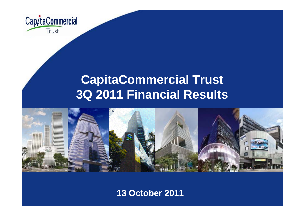

# **CapitaCommercial Trust 3Q 2011 Financial Results**



**13 October 2011**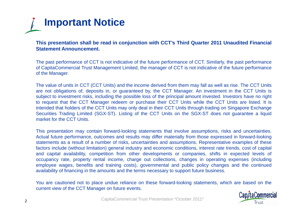

This presentation shall be read in conjunction with CCT's Third Quarter 2011 Unaudited Financial **Statement Announcement.**

The past performance of CCT is not indicative of the future performance of CCT. Similarly, the past performance of CapitaCommercial Trust Management Limited, the manager of CCT is not indicative of the future performance of the Manager.

The value of units in CCT (CCT Units) and the income derived from them may fall as well as rise. The CCT Units are not obligations of, deposits in, or guaranteed by, the CCT Manager. An investment in the CCT Units is subject to investment risks, including the possible loss of the principal amount invested. Investors have no right to request that the CCT Manager redeem or purchase their CCT Units while the CCT Units are listed. It is intended that holders of the CCT Units may only deal in their CCT Units through trading on Singapore Exchange Securities Trading Limited (SGX-ST). Listing of the CCT Units on the SGX-ST does not guarantee <sup>a</sup> liquid market for the CCT Units.

This presentation may contain forward-looking statements that involve assumptions, risks and uncertainties. Actual future performance, outcomes and results may differ materially from those expressed in forward-looking statements as <sup>a</sup> result of <sup>a</sup> number of risks, uncertainties and assumptions. Representative examples of these factors include (without limitation) general industry and economic conditions, interest rate trends, cost of capital and capital availability, competition from other developments or companies, shifts in expected levels of occupancy rate, property rental income, charge out collections, changes in operating expenses (including employee wages, benefits and training costs), governmental and public policy changes and the continued availability of financing in the amounts and the terms necessary to support future business.

You are cautioned not to place undue reliance on these forward-looking statements, which are based on the current view of the CCT Manager on future events.

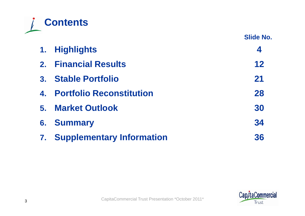

**Slide No.**

|                | 1. Highlights                       | 4  |
|----------------|-------------------------------------|----|
|                | 2. Financial Results                | 12 |
| 3 <sub>1</sub> | <b>Stable Portfolio</b>             | 21 |
|                | 4. Portfolio Reconstitution         | 28 |
| 5.             | <b>Market Outlook</b>               | 30 |
| 6.             | <b>Summary</b>                      | 34 |
|                | <b>7. Supplementary Information</b> | 36 |

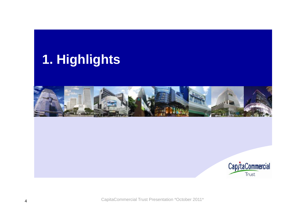# **Highlights 1.**



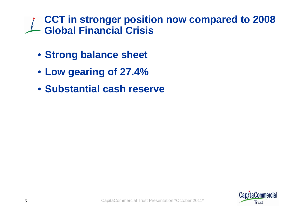# **CCT in stronger position now compared to 2008 Global Financial Crisis**

- **Strong balance sheet**
- **Low gearing of 27.4%**
- **Substantial cash reserve**

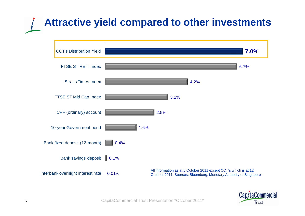# **Attractive yield compared to other investments**



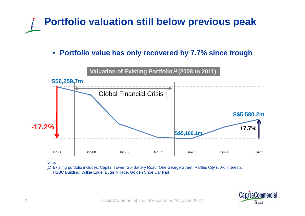

•**Portfolio value has only recovered by 7.7% since trough**



Note:

(1) Existing portfolio includes: Capital Tower, Six Battery Road, One George Street, Raffles City (60% interest), HSBC Building, Wilkie Edge, Bugis Village, Golden Shoe Car Park

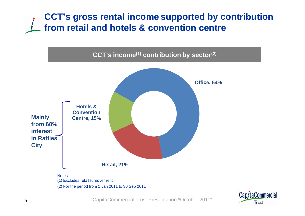## **CCT's gross rental income supported by contribution from retail and hotels & convention centre**



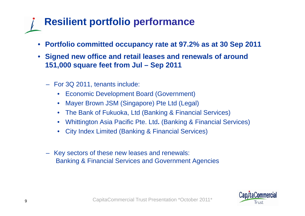# **Resilient portfolio performance**

- **Portfolio committed occupancy rate at 97.2% as at 30 Sep 2011**
- **S gi ned new office and retail leases and renewals of around 151,000 square feet from Jul – Sep 2011**
	- For 3Q 2011, tenants include:
		- •Economic Development Board (Government)
		- •Mayer Brown JSM (Singapore) Pte Ltd (Legal)
		- •The Bank of Fukuoka, Ltd (Banking & Financial Services)
		- •Whittington Asia Pacific Pte. Ltd**.** (Banking & Financial Services)
		- •City Index Limited (Banking & Financial Services)
	- Key sectors of these new leases and renewals: Banking & Financial Services and Government Agencies

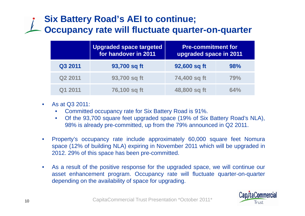# **Six Battery Road's AEI to continue; Occupancy rate will fluctuate quarter-on-quarter**

|                     | <b>Upgraded space targeted</b><br>for handover in 2011 | <b>Pre-commitment for</b><br>upgraded space in 2011 |     |
|---------------------|--------------------------------------------------------|-----------------------------------------------------|-----|
| Q3 2011             | 93,700 sq ft                                           | 92,600 sq ft                                        | 98% |
| Q <sub>2</sub> 2011 | 93,700 sq ft                                           | 74,400 sq ft                                        | 79% |
| Q1 2011             | 76,100 sq ft                                           | 48,800 sq ft                                        | 64% |

- $\bullet$  As at Q3 2011:
	- •Committed occupancy rate for Six Battery Road is 91%.
	- • Of the 93,700 square feet upgraded space (19% of Six Battery Road's NLA), 98% is already pre-committed, up from the 79% announced in Q2 2011.
- $\bullet$  Property's occupancy rate include approximately 60,000 square feet Nomura space (12% of building NLA) expiring in November 2011 which will be upgraded in 2012. 29% of this space has been pre-committed.
- $\bullet$  As <sup>a</sup> result of the positive response for the upgraded space, we will continue our asset enhancement program. Occupancy rate will fluctuate quarter-on-quarter depending on the availability of space for upgrading.

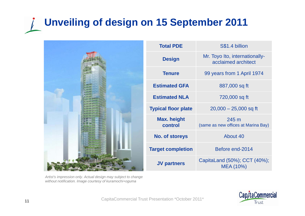### **Unveiling of design on 15 September 2011**  $\sqrt{ }$



| Artist's impression only. Actual design may subject to change |
|---------------------------------------------------------------|
| without notification. Image courtesy of kuramochi+oguma       |

| <b>Total PDE</b>           | S\$1.4 billion                                        |
|----------------------------|-------------------------------------------------------|
| <b>Design</b>              | Mr. Toyo Ito, internationally-<br>acclaimed architect |
| <b>Tenure</b>              | 99 years from 1 April 1974                            |
| <b>Estimated GFA</b>       | 887,000 sq ft                                         |
| <b>Estimated NLA</b>       | 720,000 sq ft                                         |
| <b>Typical floor plate</b> | $20,000 - 25,000$ sq ft                               |
| Max. height<br>control     | 245 m<br>(same as new offices at Marina Bay)          |
| <b>No. of storeys</b>      | About 40                                              |
| <b>Target completion</b>   | Before end-2014                                       |
| <b>JV partners</b>         | CapitaLand (50%); CCT (40%);<br>MEA (10%)             |

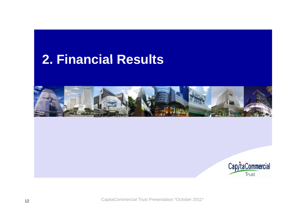# **Financial Results 2.**



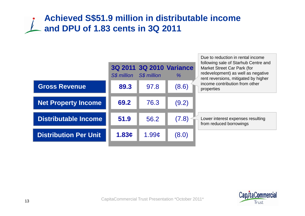## **Achieved S\$51.9 million in distributable income and DPU of 1.83 cents in 3Q 2011**



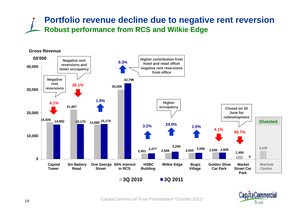### **Portfolio revenue decline due to negative rent reversion Robust performance from RCS and Wilkie Edge**



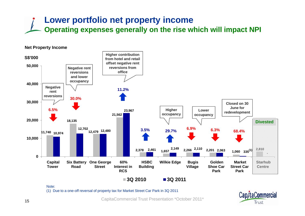### **Lower portfolio net property income Operating expenses generally on the rise which will impact NPI**

#### **Net Property Income S\$'000 Higher contribution from hotel and retail40 00050,000 S\$ 000 Negative rent reversions and lower occupancy offset negative rent reversions from office30,000**  $\begin{array}{|c|c|}\n\hline\n\text{Negative} & \text{metric} \\
\hline\n\text{reversions} & \text{30.0\%}\n\end{array}$ **11.2%Negative William September 11.2**<br>Prent and the set of the set of the set of the set of the set of the set of the set of the set of the set of t **reversionsClosed on 30 June for 11 740 10 97418,135 12 479 12,702 12,480 21,562 23,967 20,000 3.5% 29.7% 6.9% 6.3% Lower occupancy Higher occupancy 6.5%Divested68.4%redevelopment 11,740 10,974 12,479 12,479 12,480 12,479 12,480 1.657 1.657 1.657 1.657 1.668.490 1.668.490 1.68.490 1.68.490 1.68.490 1.68.490 1.68.490 1.68.490 1.68.490 1.68.490 1.68.490 1.6** 10,974<br>**10,974**<br>**1,974**<br>**1,657**<br>**1,657**<br>**1,657**<br>**2,149**<br>**2,266**<br>**2,110**<br>**2,201**<br>**2,201**<br>**2,201**<br>**1,060**<br>335<sup>(1)</sup><br><br><br><br><br><br><br><br><br><br><br><br><br><br><br><br><br><br><br><br><br><br><br><br><br><br><br> **010,000**  $1,060$   $335^{(1)}$ **Capital Tower Six Battery One George Road Street60% Interest in RCSHSBC Building Wilkie Edge Bugis Village Golden Shoe Car ParkMarket Street Car ParkStarhub Centre3Q 2010 Q3Q 2011**

Note:

(1) Due to a one-off reversal of property tax for Market Street Car Park in 3Q 2011

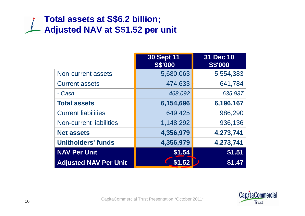## **Total assets at S\$6.2 billion; Adjusted NAV at S\$1.52 per unit**

|                                | <b>30 Sept 11</b><br><b>S\$'000</b> | 31 Dec 10<br><b>S\$'000</b> |
|--------------------------------|-------------------------------------|-----------------------------|
| Non-current assets             | 5,680,063                           | 5,554,383                   |
| <b>Current assets</b>          | 474,633                             | 641,784                     |
| - Cash                         | 468,092                             | 635,937                     |
| <b>Total assets</b>            | 6,154,696                           | 6,196,167                   |
| <b>Current liabilities</b>     | 649,425                             | 986,290                     |
| <b>Non-current liabilities</b> | 1,148,292                           | 936,136                     |
| <b>Net assets</b>              | 4,356,979                           | 4,273,741                   |
| <b>Unitholders' funds</b>      | 4,356,979                           | 4,273,741                   |
| <b>NAV Per Unit</b>            | \$1.54                              | \$1.51                      |
| <b>Adjusted NAV Per Unit</b>   | \$1.52                              | \$1.47                      |

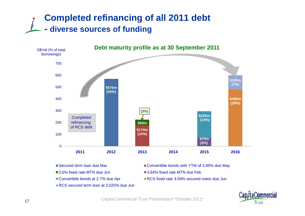## **Completed refinancing of all 2011 debt - diverse sources of funding**



- Secured term Ioan due Mar
- ■3.5% fixed rate MTN due Jun
- 
- RCS secured term loan at 3.025% due Jun
- Convertible bonds with YTM of 3.95% due May
- ■3.64% fixed rate MTN due Feb
- Convertible bonds at 2.7% due Apr RCS fixed rate 3.09% secured notes due Jun

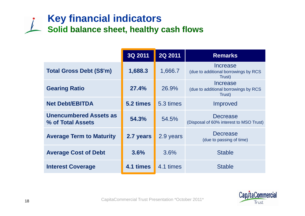# **Key financial indicators Solid balance sheet, healthy cash flows**

|                                                    | 3Q 2011   | 2Q 2011   | <b>Remarks</b>                                             |
|----------------------------------------------------|-----------|-----------|------------------------------------------------------------|
| <b>Total Gross Debt (S\$'m)</b>                    | 1,688.3   | 1,666.7   | Increase<br>(due to additional borrowings by RCS<br>Trust) |
| <b>Gearing Ratio</b>                               | 27.4%     | 26.9%     | Increase<br>(due to additional borrowings by RCS<br>Trust) |
| <b>Net Debt/EBITDA</b>                             | 5.2 times | 5.3 times | Improved                                                   |
| <b>Unencumbered Assets as</b><br>% of Total Assets | 54.3%     | 54.5%     | <b>Decrease</b><br>(Disposal of 60% interest to MSO Trust) |
| <b>Average Term to Maturity</b>                    | 2.7 years | 2.9 years | <b>Decrease</b><br>(due to passing of time)                |
| <b>Average Cost of Debt</b>                        | 3.6%      | 3.6%      | <b>Stable</b>                                              |
| <b>Interest Coverage</b>                           | 4.1 times | 4.1 times | <b>Stable</b>                                              |

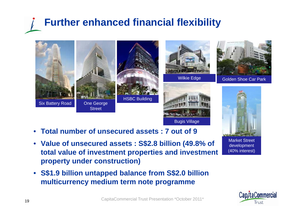# **Further enhanced financial flexibility**









Wilkie Edge **Golden Shoe Car Park** 



- Market Street development (40% interest)
- $\bullet$  **Total number of unsecured assets : 7 out of 9**

**Street** 

- **Value of unsecured assets : S\$2.8 billion (49.8% of total value of investment properties and investment property under construction)**
- **S\$1.9 billion untapped balance from S\$2.0 billion multicurrency medium term note programme**

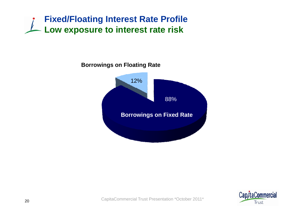

#### **Borrowings on Floating Rate**



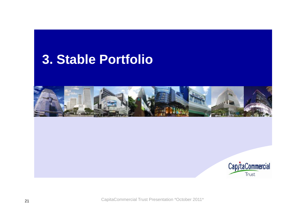# **Stable Portfolio 3.**



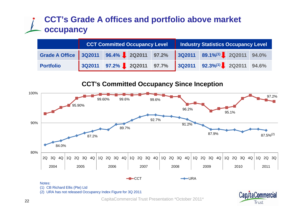### **CCT's Grade A offices and portfolio above market occupancy**

|                                                                       |  |  | CCT Committed Occupancy Level   Industry Statistics Occupancy Level |  |
|-----------------------------------------------------------------------|--|--|---------------------------------------------------------------------|--|
| Grade A Office 3Q2011 96.4% 2Q2011 97.2% 3Q2011 89.1%(1) 2Q2011 94.0% |  |  |                                                                     |  |
| <b>Portfolio</b>                                                      |  |  | 3Q2011 97.2% 2Q2011 97.7% 3Q2011 92.3% <sup>(1)</sup> 2Q2011 94.6%  |  |

#### **CCT's Committed Occupancy Since Inception CCT s**

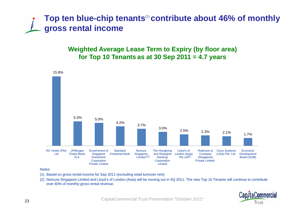### **Top ten blue-chip tenants**(1) **contribute about 46% of monthly gross rental income**

**Weighted Average Lease Term to Expiry (by floor area) for Top 10 Tenants as at 30 Sep 2011 = 4.7 years**



#### Notes:

- (1) Based on gross rental income for Sep 2011 (excluding retail turnover rent)
- (2) Nomura Singapore Limited and Lloyd's of London (Asia) will be moving out in 4Q 2011. The new Top 10 Tenants will continue to contribute over 40% of monthly gross rental revenue.

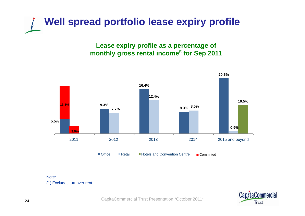

**Lease expiry profile as a percentage of**  monthly gross rental income<sup>(1)</sup> for Sep 2011



Note:(1) Excludes turnover rent

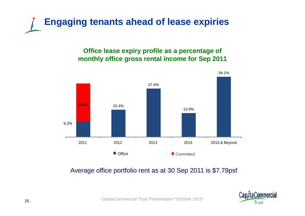

#### **Office lease expiry profile as a percentage of monthly office gross rental income for Sep 2011**



#### Average office portfolio rent as at 30 Sep 2011 is \$7.79psf

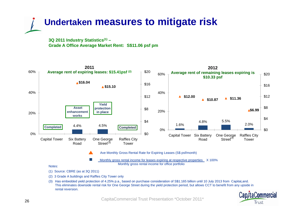

**3Q 2011 Industry Statistics(1) – Grade A Office Average Market Rent: S\$11.06 psf pm**



(3) Has embedded yield protection of 4.25% p.a., based on purchase consideration of S\$1.165 billion until 10 July 2013 from CapitaLand. This eliminates downside rental risk for One George Street during the yield protection period, but allows CCT to benefit from any upside in rental reversion.

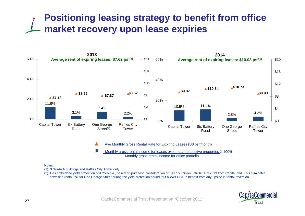# **Positioning leasing strategy to benefit from office market recovery upon lease expiries**



Ave Monthly Gross Rental Rate for Expiring Leases (S\$ psf/month)

F Monthly gross rental income for leases expiring at respective properties X 100% Monthly gross rental income for office portfolio

#### Notes:

(1) 3 Grade A buildings and Raffles City Tower only

(2) Has embedded yield protection of 4.25% p.a., based on purchase consideration of S\$1.165 billion until 10 July 2013 from CapitaLand. This eliminates downside rental risk for One George Street during the yield protection period, but allows CCT to benefit from any upside in rental reversion.

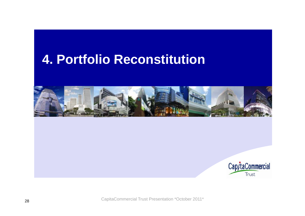# **Portfolio Reconstitution 4.**



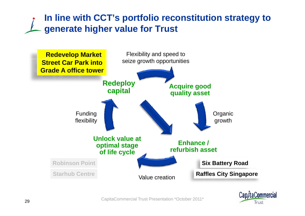## **In line with CCT's portfolio reconstitution strategy to generate higher value for Trust**



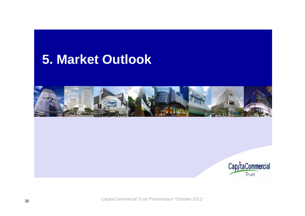# **Market Outlook 5.**



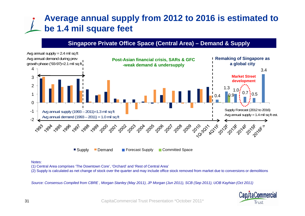## **Average annual supply from 2012 to 2016 is estimated to be 1.4 mil square feet**

#### **Singapore Private Office Space (Central Area) – Demand & Supply**



#### Notes:

(1) Central Area comprises 'The Downtown Core', 'Orchard' and 'Rest of Central Area'

(2) Supply is calculated as net change of stock over the quarter and may include office stock removed from market due to conversions or demolitions

*Source: Consensus Compiled from CBRE , Morgan Stanley (May 2011), JP Morgan (Jun 2011), SCB (Sep 2011), UOB Kayhian (Oct 2011)*

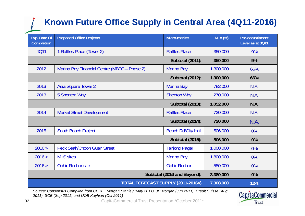# **Known Future Office Supply in Central Area (4Q11-2016)**

| Exp. Date Of<br>Completion | <b>Proposed Office Projects</b>              | Micro-market              | NLA (sf)  | Pre-commitment<br>Level as at 3Q11 |
|----------------------------|----------------------------------------------|---------------------------|-----------|------------------------------------|
| <b>4Q11</b>                | 1 Raffles Place (Tower 2)                    | <b>Raffles Place</b>      | 350,000   | 9%                                 |
|                            |                                              | <b>Subtotal (2011):</b>   | 350,000   | 9%                                 |
| 2012                       | Marina Bay Financial Centre (MBFC - Phase 2) | <b>Marina Bay</b>         | 1,300,000 | 66%                                |
|                            |                                              | <b>Subtotal (2012):</b>   | 1,300,000 | 66%                                |
| 2013                       | <b>Asia Square Tower 2</b>                   | <b>Marina Bay</b>         | 782,000   | N.A.                               |
| 2013                       | <b>5 Shenton Way</b>                         | <b>Shenton Way</b>        | 270,000   | N.A.                               |
|                            |                                              | <b>Subtotal (2013):</b>   | 1,052,000 | N.A.                               |
| 2014                       | <b>Market Street Development</b>             | <b>Raffles Place</b>      | 720,000   | N.A.                               |
|                            |                                              | <b>Subtotal (2014):</b>   | 720,000   | N.A.                               |
| 2015                       | <b>South Beach Project</b>                   | <b>Beach Rd/City Hall</b> | 506,000   | 0%                                 |
|                            |                                              | <b>Subtotal (2015):</b>   | 506,000   | 0%                                 |
| 2016 >                     | <b>Peck Seah/Choon Guan Street</b>           | <b>Tanjong Pagar</b>      | 1,000,000 | 0%                                 |
| 2016 >                     | M+S sites                                    | <b>Marina Bay</b>         | 1,800,000 | 0%                                 |
| 2016 >                     | Ophir-Rochor site                            | <b>Ophir-Rochor</b>       | 580,000   | 0%                                 |
|                            | Subtotal (2016 and Beyond):                  | 3,380,000                 | 0%        |                                    |
|                            | TOTAL FORECAST SUPPLY (2011-2016>)           |                           | 7,308,000 | 12%                                |

*Source: Consensus Compiled from CBRE , Morgan Stanley (May 2011), JP Morgan (Jun 2011), Credit Suisse (Aug 2011), SCB (Sep 2011) and UOB Kayhian (Oct 2011)*

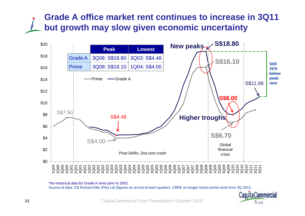### **Grade A office market rent continues to increase in 3Q11 but growth may slow given economic uncertainty**



\*No historical data for Grade A rents prior to 2002.

Source of data: CB Richard Ellis (Pte) Ltd (figures as at end of each quarter). CBRE no longer tracks prime rents from 3Q 2011.

Cap/taCommercial Trust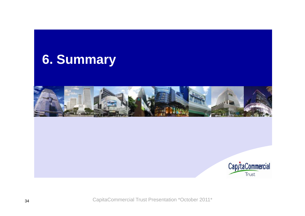



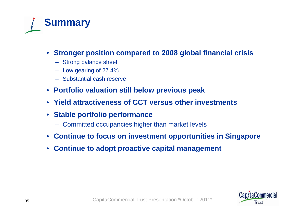

- **Stronger position compared to 2008 global financial crisis**
	- Strong balance sheet
	- Low gearing of 27.4%
	- Substantial cash reserve
- **Portfolio valuation still below previous peak**
- **Yield attractiveness of CCT versus other investments**
- **Stable portfolio performance**
	- Committed occupancies higher than market levels
- **Continue to focus on investment opportunities in Singapore**
- **Continue to adopt proactive capital management**

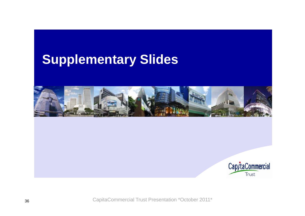# **Supplementary Slides**



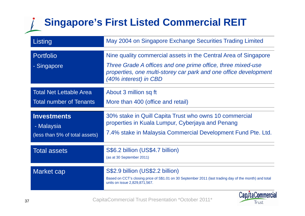#### **Singapore's First Listed Commercial REIT**  $\sqrt{2}$

| Listing                                                            | May 2004 on Singapore Exchange Securities Trading Limited                                                                                                                                                                   |
|--------------------------------------------------------------------|-----------------------------------------------------------------------------------------------------------------------------------------------------------------------------------------------------------------------------|
| <b>Portfolio</b><br>- Singapore                                    | Nine quality commercial assets in the Central Area of Singapore<br>Three Grade A offices and one prime office, three mixed-use<br>properties, one multi-storey car park and one office development<br>(40% interest) in CBD |
| <b>Total Net Lettable Area</b><br><b>Total number of Tenants</b>   | About 3 million sq ft<br>More than 400 (office and retail)                                                                                                                                                                  |
| <b>Investments</b><br>- Malaysia<br>(less than 5% of total assets) | 30% stake in Quill Capita Trust who owns 10 commercial<br>properties in Kuala Lumpur, Cyberjaya and Penang<br>7.4% stake in Malaysia Commercial Development Fund Pte. Ltd.                                                  |
| <b>Total assets</b>                                                | S\$6.2 billion (US\$4.7 billion)<br>(as at 30 September 2011)                                                                                                                                                               |
| Market cap                                                         | S\$2.9 billion (US\$2.2 billion)<br>Based on CCT's closing price of S\$1.01 on 30 September 2011 (last trading day of the month) and total<br>units on issue 2,829,871,567.                                                 |
|                                                                    | Cap/taCommercial                                                                                                                                                                                                            |

Trust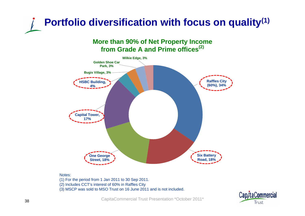# **Portfolio diversification with focus on quality(1)**

#### **More than 90% of Net Property Income from Grade A and Prime offices(2)**



#### Notes:

(1) For the period from 1 Jan 2011 to 30 Sep 2011. (2) Includes CCT's interest of 60% in Raffles City (3) MSCP was sold to MSO Trust on 16 June 2011 and is not included.

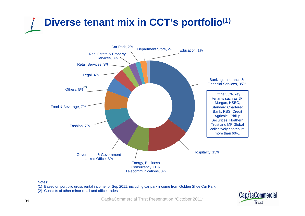



#### Notes:

- (1) Based on portfolio gross rental income for Sep 2011, including car park income from Golden Shoe Car Park.
- (2) Consists of other minor retail and office trades.

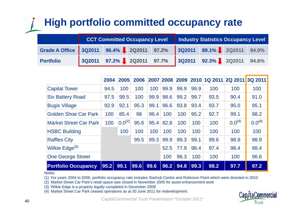# **High portfolio committed occupancy rate**

|                  | <b>CCT Committed Occupancy Level</b>                               | <b>Industry Statistics Occupancy Level</b> |  |  |
|------------------|--------------------------------------------------------------------|--------------------------------------------|--|--|
|                  | Grade A Office 3Q2011 96.4% 2Q2011 97.2% 3Q2011 89.1% 2Q2011 94.0% |                                            |  |  |
| <b>Portfolio</b> | 3Q2011 97.2% 2Q2011 97.7% 3Q2011 92.3% 2Q2011 94.6%                |                                            |  |  |

|                                         | 2004 | 2005        | 2006 |      |      |      |      | 2007 2008 2009 2010 1Q 2011 | 2Q 2011 3Q 2011 |             |
|-----------------------------------------|------|-------------|------|------|------|------|------|-----------------------------|-----------------|-------------|
| <b>Capital Tower</b>                    | 94.5 | 100         | 100  | 100  | 99.9 | 99.9 | 99.9 | 100                         | 100             | 100         |
| <b>Six Battery Road</b>                 | 97.5 | 99.5        | 100  | 99.9 | 98.6 | 99.2 | 99.7 | 93.5                        | 90.4            | 91.0        |
| <b>Bugis Village</b>                    | 92.9 | 92.1        | 95.3 | 99.1 | 96.6 | 93.8 | 93.4 | 93.7                        | 95.0            | 95.1        |
| <b>Golden Shoe Car Park</b>             | 100  | 85.4        | 98   | 96.4 | 100  | 100  | 95.2 | 92.7                        | 99.1            | 98.2        |
| <b>Market Street Car Park</b>           | 100  | $0.0^{(2)}$ | 95.6 | 95.4 | 82.8 | 100  | 100  | 100                         | $0.0^{(4)}$     | $0.0^{(4)}$ |
| <b>HSBC Building</b>                    |      | 100         | 100  | 100  | 100  | 100  | 100  | 100                         | 100             | 100         |
| <b>Raffles City</b>                     |      |             | 99.5 | 99.3 | 99.9 | 99.3 | 99.1 | 99.6                        | 98.9            | 98.9        |
| Wilkie Edge <sup>(3)</sup>              |      |             |      |      | 52.5 | 77.9 | 98.4 | 97.4                        | 98.4            | 98.4        |
| <b>One George Street</b>                |      |             |      |      | 100  | 96.3 | 100  | 100                         | 100             | 96.6        |
| <b>Portfolio Occupancy</b><br>المصطلحات | 95.2 | 99.1        | 99.6 | 99.6 | 96.2 | 94.8 | 99.3 | 98.2                        | 97.7            | 97.2        |

#### Notes:

(1) For years 2004 to 2009, portfolio occupancy rate includes Starhub Centre and Robinson Point which were divested in 2010

(2) Market Street Car Park's retail space was closed in November 2005 for asset enhancement work

(3) Wilkie Edge is a property legally completed in December 2008

(4) Market Street Car Park ceased operations as at 30 June 2011 for redevelopment.

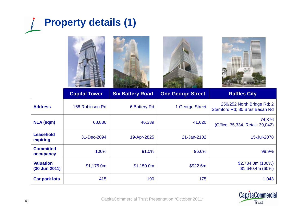







|                                     | <b>Capital Tower</b> | <b>Six Battery Road</b> | <b>One George Street</b> | <b>Raffles City</b>                                         |
|-------------------------------------|----------------------|-------------------------|--------------------------|-------------------------------------------------------------|
| <b>Address</b>                      | 168 Robinson Rd      | <b>6 Battery Rd</b>     | 1 George Street          | 250/252 North Bridge Rd; 2<br>Stamford Rd; 80 Bras Basah Rd |
| <b>NLA (sqm)</b>                    | 68,836               | 46,339                  | 41,620                   | 74,376<br>(Office: 35,334, Retail: 39,042)                  |
| <b>Leasehold</b><br>expiring        | 31-Dec-2094          | 19-Apr-2825             | 21-Jan-2102              | 15-Jul-2078                                                 |
| <b>Committed</b><br>occupancy       | 100%                 | 91.0%                   | 96.6%                    | 98.9%                                                       |
| <b>Valuation</b><br>$(30$ Jun 2011) | \$1,175.0m           | \$1,150.0m              | \$922.6m                 | $$2,734.0m (100\%)$<br>\$1,640.4m (60%)                     |
| <b>Car park lots</b>                | 415                  | 190                     | 175                      | 1,043                                                       |

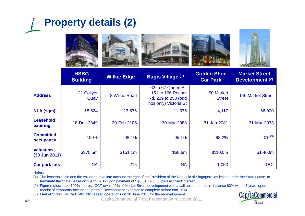# **Property details (2)**





Notes:

(1) The leasehold title and the valuation take into account the right of the President of the Republic of Singapore, as lessor under the State Lease, to terminate the State Lease on 1 April 2019 upon payment of S\$6,610,208.53 plus accrued interest.

(2) Figures shown are 100% interest. CCT owns 40% of Market Street development with a call option to acquire balance 60% within 3 years upon receipt of temporary occupation permit. Development expected to complete before end-2014.

(3) Market Street Car Park officially ceased operations on 30 June 2011 for the redevelopment.